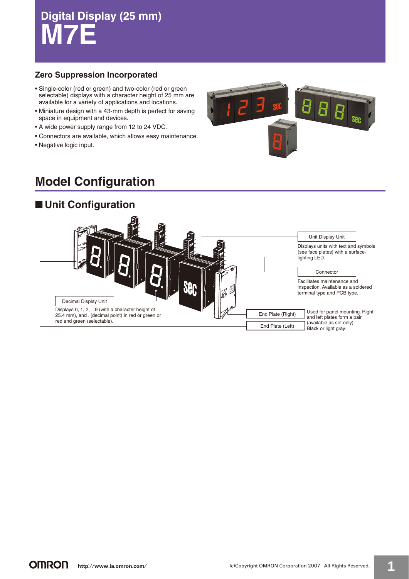# **Digital Display (25 mm) M7E**

## **Zero Suppression Incorporated**

- Single-color (red or green) and two-color (red or green selectable) displays with a character height of 25 mm are available for a variety of applications and locations.
- Miniature design with a 43-mm depth is perfect for saving space in equipment and devices.
- A wide power supply range from 12 to 24 VDC.
- Connectors are available, which allows easy maintenance.
- Negative logic input.



# **Model Configuration**

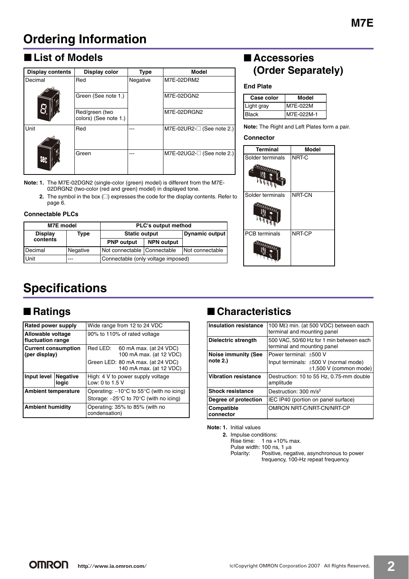# **Ordering Information**

# ■ List of Models

| <b>Display contents</b> |            | Display color                           | <b>Type</b> | <b>Model</b>                 |
|-------------------------|------------|-----------------------------------------|-------------|------------------------------|
|                         | Decimal    | Red                                     | Negative    | M7E-02DRM2                   |
|                         |            | Green (See note 1.)                     |             | M7E-02DGN2                   |
|                         |            | Red/green (two<br>colors) (See note 1.) |             | M7E-02DRGN2                  |
|                         | Unit       | Red                                     |             | $M7E-02UR2-$ (See note 2.)   |
|                         | <b>NHP</b> | Green                                   |             | $M7E-02UG2-[]$ (See note 2.) |

**Note: 1.** The M7E-02DGN2 (single-color (green) model) is different from the M7E-02DRGN2 (two-color (red and green) model) in displayed tone.

**2.** The symbol in the box ( $\square$ ) expresses the code for the display contents. Refer to page 6.

#### **Connectable PLCs**

| M7E model      |          | <b>PLC's output method</b>         |                |                 |  |  |  |
|----------------|----------|------------------------------------|----------------|-----------------|--|--|--|
| <b>Display</b> | Type     | <b>Static output</b>               | Dynamic output |                 |  |  |  |
| contents       |          | <b>PNP</b> output                  |                |                 |  |  |  |
| l Decimal      | Negative | Not connectable Connectable        |                | Not connectable |  |  |  |
| Unit           | ---      | Connectable (only voltage imposed) |                |                 |  |  |  |

# ■ **Accessories (Order Separately)**

**End Plate**

| Case color   | Model      |
|--------------|------------|
| Light gray   | M7E-022M   |
| <b>Black</b> | M7E-022M-1 |

**Note:** The Right and Left Plates form a pair.

#### **Connector**

| <b>Terminal</b>                                                                                                                                                                                                                                                                                                      | <b>Model</b>  |
|----------------------------------------------------------------------------------------------------------------------------------------------------------------------------------------------------------------------------------------------------------------------------------------------------------------------|---------------|
| Solder terminals                                                                                                                                                                                                                                                                                                     | NRT-C         |
| $\frac{1}{4}$ , $\frac{1}{4}$ , $\frac{1}{4}$ , $\frac{1}{4}$ , $\frac{1}{4}$ , $\frac{1}{4}$ , $\frac{1}{4}$ , $\frac{1}{4}$ , $\frac{1}{4}$ , $\frac{1}{4}$ , $\frac{1}{4}$ , $\frac{1}{4}$ , $\frac{1}{4}$ , $\frac{1}{4}$ , $\frac{1}{4}$ , $\frac{1}{4}$ , $\frac{1}{4}$ , $\frac{1}{4}$ , $\frac{1$<br>መ<br>ĥЦ |               |
| Solder terminals                                                                                                                                                                                                                                                                                                     | <b>NRT-CN</b> |
| <b>Chat Lat</b><br>In                                                                                                                                                                                                                                                                                                |               |
| PCB terminals                                                                                                                                                                                                                                                                                                        | NRT-CP        |
| John C                                                                                                                                                                                                                                                                                                               |               |

# **Specifications**

| Rated power supply                          |                          | Wide range from 12 to 24 VDC                                  |  |  |  |
|---------------------------------------------|--------------------------|---------------------------------------------------------------|--|--|--|
| Allowable voltage<br>fluctuation range      |                          | 90% to 110% of rated voltage                                  |  |  |  |
| <b>Current consumption</b><br>(per display) |                          | Red LED:<br>60 mA max. (at 24 VDC)<br>100 mA max. (at 12 VDC) |  |  |  |
|                                             |                          | Green LED: 80 mA max. (at 24 VDC)<br>140 mA max. (at 12 VDC)  |  |  |  |
| Input level                                 | <b>Negative</b><br>logic | High: 4 V to power supply voltage<br>Low: 0 to 1.5 V          |  |  |  |
| <b>Ambient temperature</b>                  |                          | Operating: $-10^{\circ}$ C to 55 $^{\circ}$ C (with no icing) |  |  |  |
|                                             |                          | Storage: $-25^{\circ}$ C to 70 $^{\circ}$ C (with no icing)   |  |  |  |
| <b>Ambient humidity</b>                     |                          | Operating: 35% to 85% (with no<br>condensation)               |  |  |  |

# ■ Ratings ■ **Batings**

| Insulation resistance   | 100 M $\Omega$ min. (at 500 VDC) between each<br>terminal and mounting panel |
|-------------------------|------------------------------------------------------------------------------|
| Dielectric strength     | 500 VAC, 50/60 Hz for 1 min between each<br>terminal and mounting panel      |
| Noise immunity (See     | Power terminal: ±500 V                                                       |
| note 2.)                | Input terminals: ±500 V (normal mode)<br>$\pm$ 1,500 V (common mode)         |
| l Vibration resistance  | Destruction: 10 to 55 Hz, 0.75-mm double<br>amplitude                        |
| <b>Shock resistance</b> | Destruction: $300 \text{ m/s}^2$                                             |
| Degree of protection    | IEC IP40 (portion on panel surface)                                          |
| Compatible<br>connector | OMRON NRT-C/NRT-CN/NRT-CP                                                    |

**Note: 1.** Initial values

**2.** Impulse conditions: Rise time: 1 ns +10% max. Pulse width: 100 ns, 1  $\mu$ s<br>Polarity: Positive, neg

Positive, negative, asynchronous to power frequency, 100-Hz repeat frequency.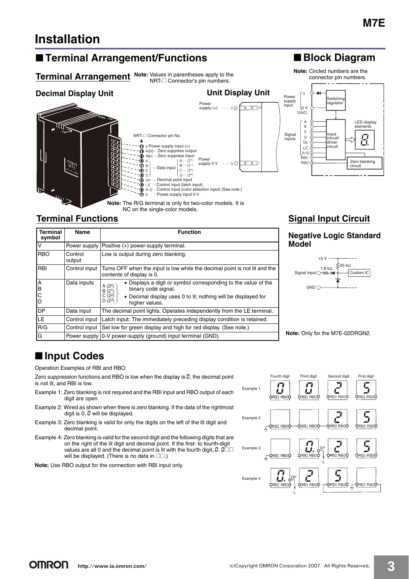LED display

# **Installation**

## ■ **Terminal Arrangement/Functions**

#### **Terminal Arrangement** Note: Values in parentheses apply to the NRT-□ Connector's pin numbers.

# ■ **Block Diagram**

**Note:** Circled numbers are the connector pin numbers.



#### $\overline{R}$ elements  $\mathbf{C}$ Input circuit/ driver circuit  $\mathsf D$ E. Dp  $E$ R/G **RRT** Zero blanking **RBO** circuit

**Switching** egulato

## **Terminal Functions**

| <b>Terminal</b><br>symbol | Name              | <b>Function</b>                                                                                                                                                                                                                     |  |  |  |  |  |  |
|---------------------------|-------------------|-------------------------------------------------------------------------------------------------------------------------------------------------------------------------------------------------------------------------------------|--|--|--|--|--|--|
| v                         | Power supply      | Positive (+) power-supply terminal.                                                                                                                                                                                                 |  |  |  |  |  |  |
| <b>RBO</b>                | Control<br>output | Low is output during zero blanking.                                                                                                                                                                                                 |  |  |  |  |  |  |
| <b>RBI</b>                | Control input     | Turns OFF when the input is low while the decimal point is not lit and the<br>contents of display is 0.                                                                                                                             |  |  |  |  |  |  |
| A<br>B<br>С<br>D          | Data inputs       | • Displays a digit or symbol corresponding to the value of the<br>$\binom{2^0}{2^1}$<br>A<br>B<br>binary code signal.<br>$(2^2)$<br>C<br>• Decimal display uses 0 to 9; nothing will be displayed for<br>$D(2^3)$<br>higher values. |  |  |  |  |  |  |
| <b>DP</b>                 | Data input        | The decimal point lights. Operates independently from the LE terminal.                                                                                                                                                              |  |  |  |  |  |  |
| LE.                       | Control input     | Latch input: The immediately preceding display condition is retained.                                                                                                                                                               |  |  |  |  |  |  |
| R/G                       | Control input     | Set low for green display and high for red display. (See note.)                                                                                                                                                                     |  |  |  |  |  |  |
| G                         |                   | Power supply   0-V power-supply (ground) input terminal (GND).                                                                                                                                                                      |  |  |  |  |  |  |

## **Signal Input Circuit**

### **Negative Logic Standard Model**



**Note:** Only for the M7E-02DRGN2.

# ■ **Input Codes**

Operation Examples of RBI and RBO

Zero suppression functions and RBO is low when the display is  $\Omega$ , the decimal point is not lit, and RBI is low.

- Example 1: Zero blanking is not required and the RBI input and RBO output of each digit are open.
- Example 2: Wired as shown when there is zero blanking. If the data of the rightmost digit is  $0, \mathcal{Q}$  will be displayed.
- Example 3: Zero blanking is valid for only the digits on the left of the lit digit and decimal point.
- Example 4: Zero blanking is valid for the second digit and the following digits that are on the right of the lit digit and decimal point. If the first- to fourth-digit values are all 0 and the decimal point is lit with the fourth digit,  $0.0$ will be displayed. (There is no data in  $\square\square$ .)
- **Note:** Use RBO output for the connection with RBI input only.

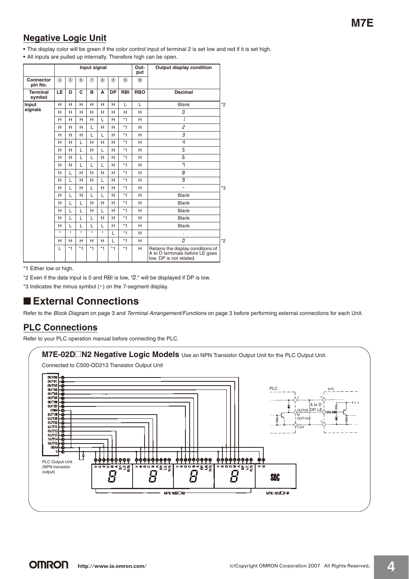## **Negative Logic Unit**

**•** The display color will be green if the color control input of terminal 2 is set low and red if it is set high.

**•** All inputs are pulled up internally. Therefore high can be open.

|                           |               |         |               | Input signal |               |               |                | Out-<br>put | <b>Output display condition</b>                                                                 |         |
|---------------------------|---------------|---------|---------------|--------------|---------------|---------------|----------------|-------------|-------------------------------------------------------------------------------------------------|---------|
| Connector<br>pin No.      | $\circled{3}$ | (5)     | $\circledast$ | ි            | $\circledast$ | $\circled{4}$ | $\circledcirc$ | (10)        |                                                                                                 |         |
| <b>Terminal</b><br>symbol | LE            | D       | C             | в            | A             | <b>DP</b>     | RBI            | <b>RBO</b>  | <b>Decimal</b>                                                                                  |         |
| Input                     | H             | H       | н             | н            | н             | н             | L              | L           | <b>Blank</b>                                                                                    | $*_{2}$ |
| signals                   | H             | H       | H             | H            | H             | H             | H              | H           | ū                                                                                               |         |
|                           | H             | н       | H             | H            | L             | H             | $*1$           | H           |                                                                                                 |         |
|                           | H             | H       | H             | $\mathbf{L}$ | н             | H             | $*1$           | H           | $\overline{c}$                                                                                  |         |
|                           | H             | н       | H             | $\mathbf{L}$ | L             | н             | $*1$           | н           | 3                                                                                               |         |
|                           | H             | H       | L             | н            | H             | H             | $*1$           | H           | Ч                                                                                               |         |
|                           | H             | H       | L             | H            | L             | H             | $*1$           | H           | 5                                                                                               |         |
|                           | н             | H       | L             | L            | H             | H             | $*1$           | H           | 5                                                                                               |         |
|                           | H             | H       | L             | L            | L             | H             | $*1$           | H           | ŋ                                                                                               |         |
|                           | H             | L       | H             | H            | H             | H             | $*1$           | H           | 8                                                                                               |         |
|                           | н             | L       | н             | н            | L             | н             | $*1$           | H           | 9                                                                                               |         |
|                           | H             | L       | H             | L            | H             | H             | $*1$           | H           | ä,                                                                                              | *3      |
|                           | н             | L       | н             | L            | L             | H             | $*1$           | H           | <b>Blank</b>                                                                                    |         |
|                           | H             | L       | $\mathbf{L}$  | H            | H             | H             | $*1$           | H           | <b>Blank</b>                                                                                    |         |
|                           | H             | L       | L             | H            | L             | H             | $*1$           | H           | <b>Blank</b>                                                                                    |         |
|                           | H             | L       | L             | L            | H             | H             | $*1$           | H           | <b>Blank</b>                                                                                    |         |
|                           | н             | L       | L             | I.           | L             | H             | $*1$           | H           | <b>Blank</b>                                                                                    |         |
|                           | $\star$       | $\star$ | $\star$       | $\star$      | $\star$       | L             | $*1$           | H           | $\ddot{\phantom{0}}$                                                                            |         |
|                           | н             | н       | н             | H            | н             | L             | $*1$           | H           | ū                                                                                               | $*_{2}$ |
|                           | L             | $*1$    | $*1$          | $*1$         | $*1$          | $*1$          | $*1$           | н           | Retains the display conditions of<br>A to D terminals before LE goes<br>low. DP is not related. |         |

\*1 Either low or high.

\*2 Even if the data input is 0 and RBI is low, "*D*." will be displayed if DP is low.

\*3 Indicates the minus symbol (-) on the 7-segment display.

## ■ **External Connections**

Refer to the Block Diagram on page 3 and Terminal Arrangement/Functions on page 3 before performing external connections for each Unit.

## **PLC Connections**

Refer to your PLC operation manual before connecting the PLC.

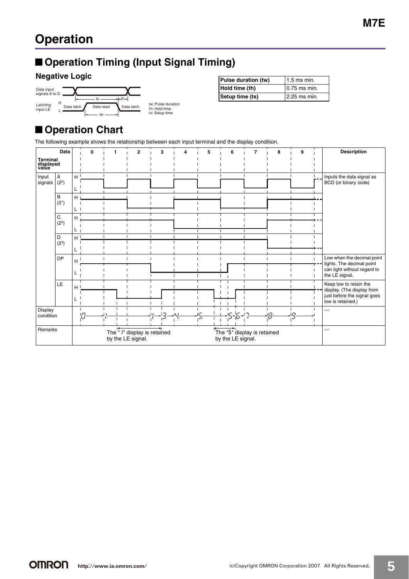# ■ **Operation Timing (Input Signal Timing)**

## **Negative Logic**



| Pulse duration (tw) | $1.5$ ms min.   |  |  |
|---------------------|-----------------|--|--|
| Hold time (th)      | $10.75$ ms min. |  |  |
| Setup time (ts)     | 12.25 ms min.   |  |  |

# ■ **Operation Chart**

The following example shows the relationship between each input terminal and the display condition.

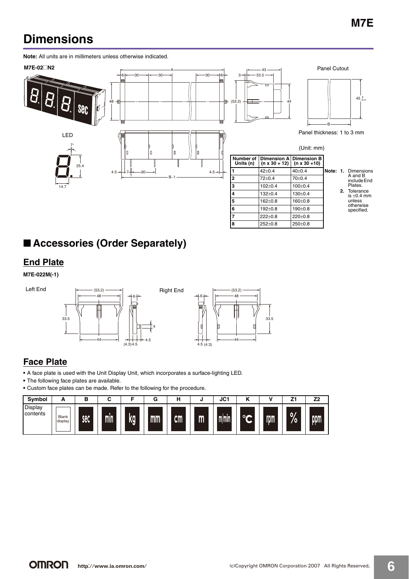# **Dimensions**

**Note:** All units are in millimeters unless otherwise indicated.





# ■ **Accessories (Order Separately)**

## **End Plate**

**M7E-022M(-1)**







## **Face Plate**

**•** A face plate is used with the Unit Display Unit, which incorporates a surface-lighting LED.

**•** The following face plates are available.

**•** Custom face plates can be made. Refer to the following for the procedure.

| Symbol              | -                | в   |     |    | G  |               |              | JC1   |         |     | 74<br>▃         | Z2               |
|---------------------|------------------|-----|-----|----|----|---------------|--------------|-------|---------|-----|-----------------|------------------|
| Display<br>contents | Blank<br>display | sec | min | kg | mm | $\mathsf{cm}$ | $\mathsf{m}$ | m/min | $\circ$ | rom | <b>O/</b><br>70 | pom <sup>1</sup> |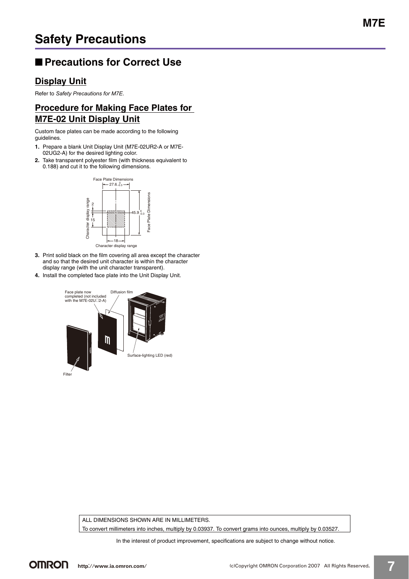# ■ **Precautions for Correct Use**

## **Display Unit**

Refer to *Safety Precautions for M7E*.

## **Procedure for Making Face Plates for M7E-02 Unit Display Unit**

Custom face plates can be made according to the following guidelines.

- **1.** Prepare a blank Unit Display Unit (M7E-02UR2-A or M7E-02UG2-A) for the desired lighting color.
- **2.** Take transparent polyester film (with thickness equivalent to 0.188) and cut it to the following dimensions.



- **3.** Print solid black on the film covering all area except the character and so that the desired unit character is within the character display range (with the unit character transparent).
- **4.** Install the completed face plate into the Unit Display Unit.



ALL DIMENSIONS SHOWN ARE IN MILLIMETERS.

To convert millimeters into inches, multiply by 0.03937. To convert grams into ounces, multiply by 0.03527.

In the interest of product improvement, specifications are subject to change without notice.

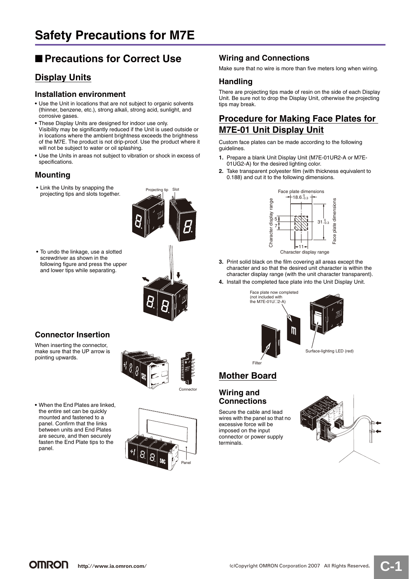# ■ **Precautions for Correct Use**

## **Display Units**

#### **Installation environment**

- **•** Use the Unit in locations that are not subject to organic solvents (thinner, benzene, etc.), strong alkali, strong acid, sunlight, and corrosive gases.
- **•** These Display Units are designed for indoor use only. Visibility may be significantly reduced if the Unit is used outside or in locations where the ambient brightness exceeds the brightness of the M7E. The product is not drip-proof. Use the product where it will not be subject to water or oil splashing.
- **•** Use the Units in areas not subject to vibration or shock in excess of specifications.

## **Mounting**

**•** Link the Units by snapping the projecting tips and slots together.





following figure and press the upper

## **Connector Insertion**

When inserting the connector, make sure that the UP arrow is pointing upwards.







#### **Wiring and Connections**

Make sure that no wire is more than five meters long when wiring.

#### **Handling**

There are projecting tips made of resin on the side of each Display Unit. Be sure not to drop the Display Unit, otherwise the projecting tips may break.

## **Procedure for Making Face Plates for M7E-01 Unit Display Unit**

Custom face plates can be made according to the following guidelines.

- **1.** Prepare a blank Unit Display Unit (M7E-01UR2-A or M7E-01UG2-A) for the desired lighting color.
- **2.** Take transparent polyester film (with thickness equivalent to 0.188) and cut it to the following dimensions.



- **3.** Print solid black on the film covering all areas except the character and so that the desired unit character is within the character display range (with the unit character transparent).
- **4.** Install the completed face plate into the Unit Display Unit.



## **Mother Board**

### **Wiring and Connections**

Secure the cable and lead wires with the panel so that no excessive force will be imposed on the input connector or power supply terminals.



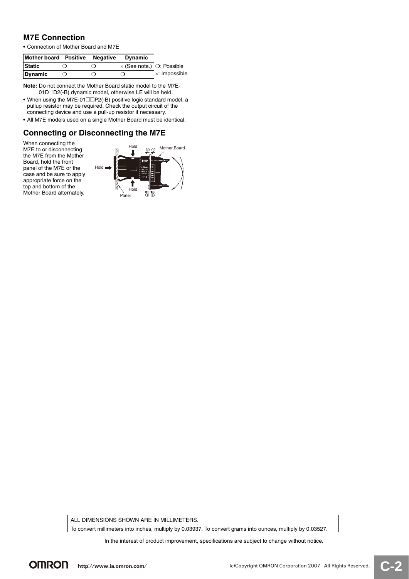#### **M7E Connection**

**•** Connection of Mother Board and M7E

| Mother board Positive | Negative | <b>Dynamic</b>                                              |                             |
|-----------------------|----------|-------------------------------------------------------------|-----------------------------|
| <b>Static</b>         |          | $\vert \times$ (See note.) $\vert \circ \rangle$ : Possible |                             |
| Dynamic               |          |                                                             | $\vert \times$ : Impossible |

**Note:** Do not connect the Mother Board static model to the M7E-01D□D2(-B) dynamic model, otherwise LE will be held.

- When using the M7E-01<sup>1</sup> P2(-B) positive logic standard model, a pullup resistor may be required. Check the output circuit of the connecting device and use a pull-up resistor if necessary.
- **•** All M7E models used on a single Mother Board must be identical.

#### **Connecting or Disconnecting the M7E**





ALL DIMENSIONS SHOWN ARE IN MILLIMETERS. To convert millimeters into inches, multiply by 0.03937. To convert grams into ounces, multiply by 0.03527.

In the interest of product improvement, specifications are subject to change without notice.